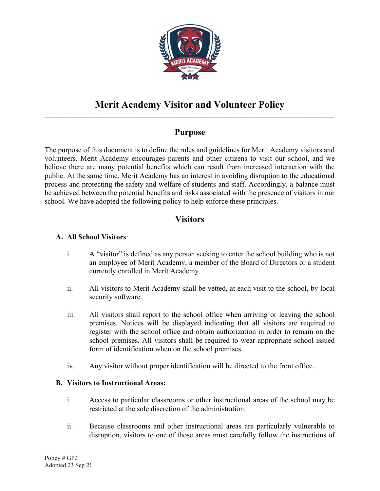

# Purpose

The purpose of this document is to define the rules and guidelines for Merit Academy visitors and volunteers. Merit Academy encourages parents and other citizens to visit our school, and we believe there are many potential benefits which can result from increased interaction with the public. At the same time, Merit Academy has an interest in avoiding disruption to the educational process and protecting the safety and welfare of students and staff. Accordingly, a balance must be achieved between the potential benefits and risks associated with the presence of visitors in our school. We have adopted the following policy to help enforce these principles.

## **Visitors**

#### A. All School Visitors:

- i. A "visitor" is defined as any person seeking to enter the school building who is not an employee of Merit Academy, a member of the Board of Directors or a student currently enrolled in Merit Academy.
- ii. All visitors to Merit Academy shall be vetted, at each visit to the school, by local security software.
- iii. All visitors shall report to the school office when arriving or leaving the school premises. Notices will be displayed indicating that all visitors are required to register with the school office and obtain authorization in order to remain on the school premises. All visitors shall be required to wear appropriate school-issued form of identification when on the school premises.
- iv. Any visitor without proper identification will be directed to the front office.

#### B. Visitors to Instructional Areas:

- i. Access to particular classrooms or other instructional areas of the school may be restricted at the sole discretion of the administration.
- ii. Because classrooms and other instructional areas are particularly vulnerable to disruption, visitors to one of those areas must carefully follow the instructions of

Policy # GP2 Adopted 23 Sep 21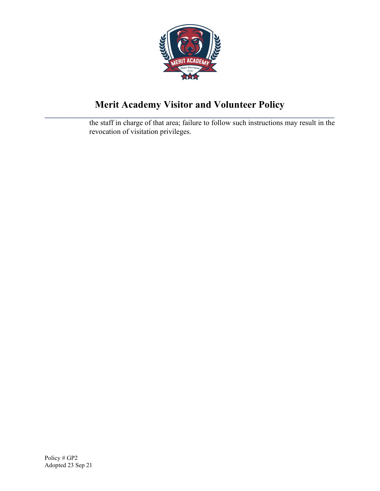

the staff in charge of that area; failure to follow such instructions may result in the revocation of visitation privileges.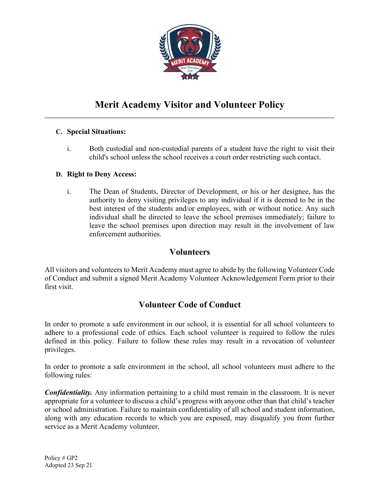

### C. Special Situations:

i. Both custodial and non-custodial parents of a student have the right to visit their child's school unless the school receives a court order restricting such contact.

### D. Right to Deny Access:

i. The Dean of Students, Director of Development, or his or her designee, has the authority to deny visiting privileges to any individual if it is deemed to be in the best interest of the students and/or employees, with or without notice. Any such individual shall be directed to leave the school premises immediately; failure to leave the school premises upon direction may result in the involvement of law enforcement authorities.

### Volunteers

All visitors and volunteers to Merit Academy must agree to abide by the following Volunteer Code of Conduct and submit a signed Merit Academy Volunteer Acknowledgement Form prior to their first visit.

# Volunteer Code of Conduct

In order to promote a safe environment in our school, it is essential for all school volunteers to adhere to a professional code of ethics. Each school volunteer is required to follow the rules defined in this policy. Failure to follow these rules may result in a revocation of volunteer privileges.

In order to promote a safe environment in the school, all school volunteers must adhere to the following rules:

**Confidentiality.** Any information pertaining to a child must remain in the classroom. It is never appropriate for a volunteer to discuss a child's progress with anyone other than that child's teacher or school administration. Failure to maintain confidentiality of all school and student information, along with any education records to which you are exposed, may disqualify you from further service as a Merit Academy volunteer.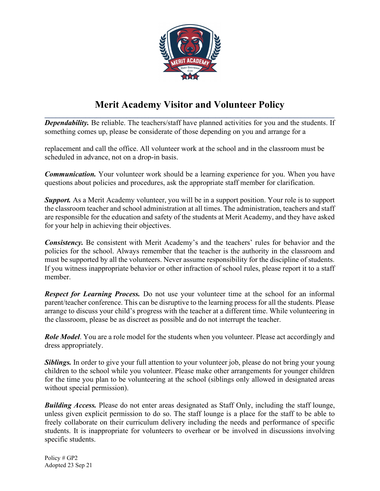

**Dependability.** Be reliable. The teachers/staff have planned activities for you and the students. If something comes up, please be considerate of those depending on you and arrange for a

replacement and call the office. All volunteer work at the school and in the classroom must be scheduled in advance, not on a drop-in basis.

**Communication.** Your volunteer work should be a learning experience for you. When you have questions about policies and procedures, ask the appropriate staff member for clarification.

**Support.** As a Merit Academy volunteer, you will be in a support position. Your role is to support the classroom teacher and school administration at all times. The administration, teachers and staff are responsible for the education and safety of the students at Merit Academy, and they have asked for your help in achieving their objectives.

Consistency. Be consistent with Merit Academy's and the teachers' rules for behavior and the policies for the school. Always remember that the teacher is the authority in the classroom and must be supported by all the volunteers. Never assume responsibility for the discipline of students. If you witness inappropriate behavior or other infraction of school rules, please report it to a staff member.

**Respect for Learning Process.** Do not use your volunteer time at the school for an informal parent/teacher conference. This can be disruptive to the learning process for all the students. Please arrange to discuss your child's progress with the teacher at a different time. While volunteering in the classroom, please be as discreet as possible and do not interrupt the teacher.

**Role Model.** You are a role model for the students when you volunteer. Please act accordingly and dress appropriately.

**Siblings.** In order to give your full attention to your volunteer job, please do not bring your young children to the school while you volunteer. Please make other arrangements for younger children for the time you plan to be volunteering at the school (siblings only allowed in designated areas without special permission).

**Building Access.** Please do not enter areas designated as Staff Only, including the staff lounge, unless given explicit permission to do so. The staff lounge is a place for the staff to be able to freely collaborate on their curriculum delivery including the needs and performance of specific students. It is inappropriate for volunteers to overhear or be involved in discussions involving specific students.

Policy # GP2 Adopted 23 Sep 21